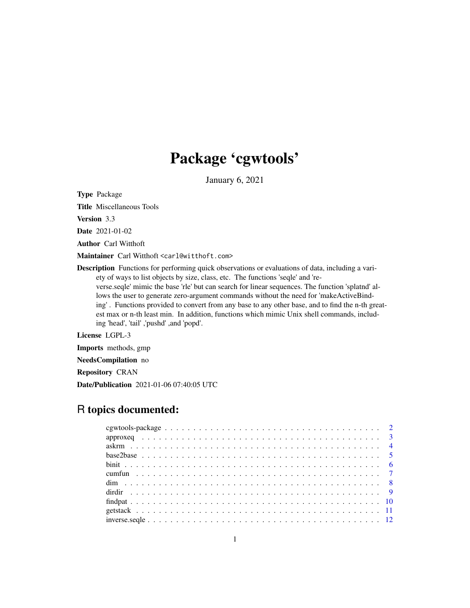# Package 'cgwtools'

January 6, 2021

<span id="page-0-0"></span>Type Package

Title Miscellaneous Tools

Version 3.3

Date 2021-01-02

Author Carl Witthoft

Maintainer Carl Witthoft <carl@witthoft.com>

Description Functions for performing quick observations or evaluations of data, including a variety of ways to list objects by size, class, etc. The functions 'seqle' and 'reverse.seqle' mimic the base 'rle' but can search for linear sequences. The function 'splatnd' allows the user to generate zero-argument commands without the need for 'makeActiveBinding' . Functions provided to convert from any base to any other base, and to find the n-th greatest max or n-th least min. In addition, functions which mimic Unix shell commands, including 'head', 'tail' ,'pushd' ,and 'popd'.

License LGPL-3

Imports methods, gmp

NeedsCompilation no

Repository CRAN

Date/Publication 2021-01-06 07:40:05 UTC

# R topics documented: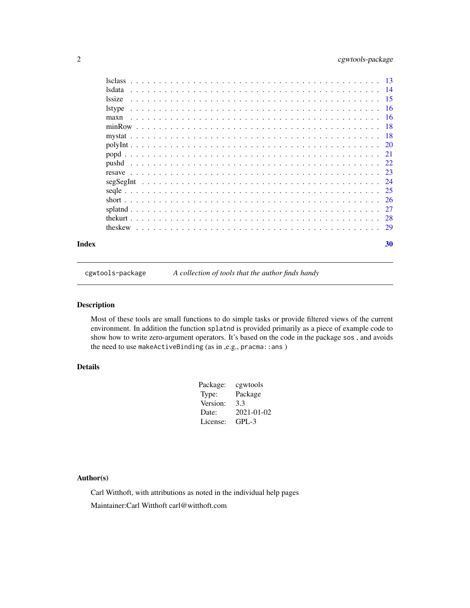# <span id="page-1-0"></span>2 cgwtools-package

|       | lsdata       |  |    |
|-------|--------------|--|----|
|       | <i>ssize</i> |  |    |
|       |              |  |    |
|       | maxn         |  |    |
|       |              |  |    |
|       |              |  |    |
|       |              |  |    |
|       |              |  |    |
|       |              |  |    |
|       |              |  |    |
|       |              |  |    |
|       |              |  |    |
|       |              |  |    |
|       |              |  |    |
|       |              |  |    |
|       |              |  |    |
| Index |              |  | 30 |

cgwtools-package *A collection of tools that the author finds handy*

# Description

Most of these tools are small functions to do simple tasks or provide filtered views of the current environment. In addition the function splatnd is provided primarily as a piece of example code to show how to write zero-argument operators. It's based on the code in the package sos , and avoids the need to use makeActiveBinding (as in ,e.g., pracma::ans )

# Details

| Package: | cgwtools   |
|----------|------------|
| Type:    | Package    |
| Version: | 3.3        |
| Date:    | 2021-01-02 |
| License: | $GPL-3$    |

# Author(s)

Carl Witthoft, with attributions as noted in the individual help pages Maintainer:Carl Witthoft carl@witthoft.com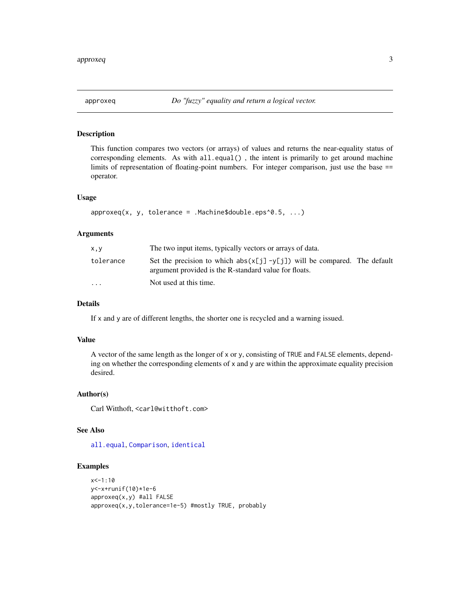<span id="page-2-0"></span>

This function compares two vectors (or arrays) of values and returns the near-equality status of corresponding elements. As with  $all.equals()$ , the intent is primarily to get around machine limits of representation of floating-point numbers. For integer comparison, just use the base == operator.

#### Usage

```
approxeq(x, y, tolerance = .Machine$double.eps^0.5, ...)
```
# Arguments

| x,y                     | The two input items, typically vectors or arrays of data.                                                                            |
|-------------------------|--------------------------------------------------------------------------------------------------------------------------------------|
| tolerance               | Set the precision to which $abs(x[j] - y[j])$ will be compared. The default<br>argument provided is the R-standard value for floats. |
| $\cdot$ $\cdot$ $\cdot$ | Not used at this time.                                                                                                               |

# Details

If x and y are of different lengths, the shorter one is recycled and a warning issued.

#### Value

A vector of the same length as the longer of x or y, consisting of TRUE and FALSE elements, depending on whether the corresponding elements of  $x$  and  $y$  are within the approximate equality precision desired.

#### Author(s)

Carl Witthoft, <carl@witthoft.com>

# See Also

[all.equal](#page-0-0), [Comparison](#page-0-0), [identical](#page-0-0)

```
x < -1:10y<-x+runif(10)*1e-6
approxeq(x,y) #all FALSE
approxeq(x,y,tolerance=1e-5) #mostly TRUE, probably
```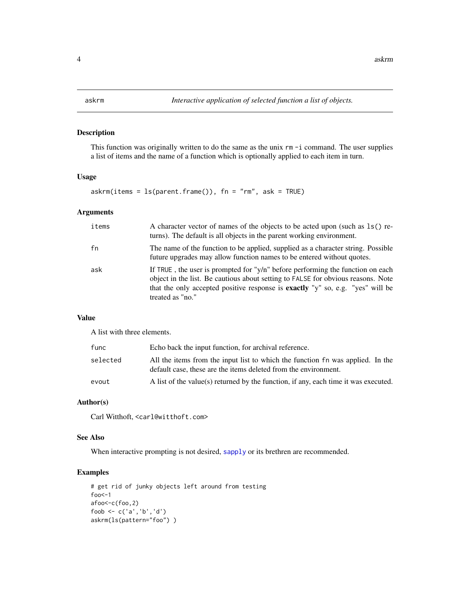<span id="page-3-0"></span>This function was originally written to do the same as the unix  $rm -i$  command. The user supplies a list of items and the name of a function which is optionally applied to each item in turn.

# Usage

```
askrm(items = ls(parent-frame()), fn = "rm", ask = TRUE)
```
# Arguments

| items | A character vector of names of the objects to be acted upon (such as 1s() re-<br>turns). The default is all objects in the parent working environment.                                                                                                                              |
|-------|-------------------------------------------------------------------------------------------------------------------------------------------------------------------------------------------------------------------------------------------------------------------------------------|
| fn    | The name of the function to be applied, supplied as a character string. Possible<br>future upgrades may allow function names to be entered without quotes.                                                                                                                          |
| ask   | If TRUE, the user is prompted for " $y/n$ " before performing the function on each<br>object in the list. Be cautious about setting to FALSE for obvious reasons. Note<br>that the only accepted positive response is <b>exactly</b> "y" so, e.g. "yes" will be<br>treated as "no." |

#### Value

A list with three elements.

| func     | Echo back the input function, for archival reference.                                                                                             |
|----------|---------------------------------------------------------------------------------------------------------------------------------------------------|
| selected | All the items from the input list to which the function fn was applied. In the<br>default case, these are the items deleted from the environment. |
| evout    | A list of the value(s) returned by the function, if any, each time it was executed.                                                               |

# Author(s)

Carl Witthoft, <carl@witthoft.com>

#### See Also

When interactive prompting is not desired, [sapply](#page-0-0) or its brethren are recommended.

```
# get rid of junky objects left around from testing
foo<-1afoo<-c(foo,2)
foob <- c('a','b','d')
askrm(ls(pattern="foo") )
```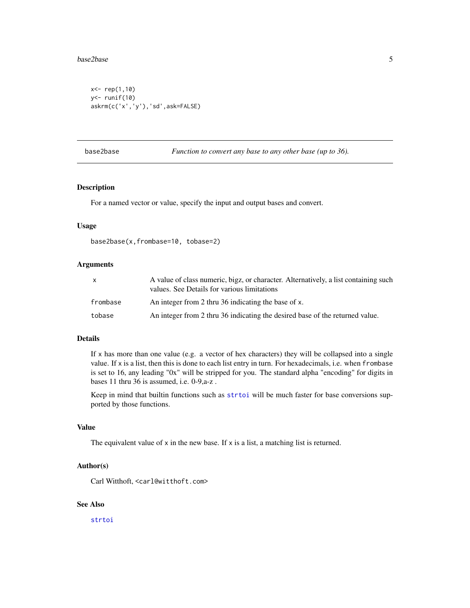#### <span id="page-4-0"></span>base2base 5

```
x<- rep(1,10)
y<- runif(10)
askrm(c('x','y'),'sd',ask=FALSE)
```
base2base *Function to convert any base to any other base (up to 36).*

# Description

For a named vector or value, specify the input and output bases and convert.

#### Usage

base2base(x,frombase=10, tobase=2)

#### Arguments

| $\mathsf{X}$ | A value of class numeric, bigz, or character. Alternatively, a list containing such<br>values. See Details for various limitations |
|--------------|------------------------------------------------------------------------------------------------------------------------------------|
| frombase     | An integer from 2 thru 36 indicating the base of x.                                                                                |
| tobase       | An integer from 2 thru 36 indicating the desired base of the returned value.                                                       |

#### Details

If  $x$  has more than one value (e.g. a vector of hex characters) they will be collapsed into a single value. If x is a list, then this is done to each list entry in turn. For hexadecimals, i.e. when frombase is set to 16, any leading "0x" will be stripped for you. The standard alpha "encoding" for digits in bases 11 thru 36 is assumed, i.e. 0-9,a-z .

Keep in mind that builtin functions such as [strtoi](#page-0-0) will be much faster for base conversions supported by those functions.

# Value

The equivalent value of  $x$  in the new base. If  $x$  is a list, a matching list is returned.

#### Author(s)

Carl Witthoft, <carl@witthoft.com>

# See Also

[strtoi](#page-0-0)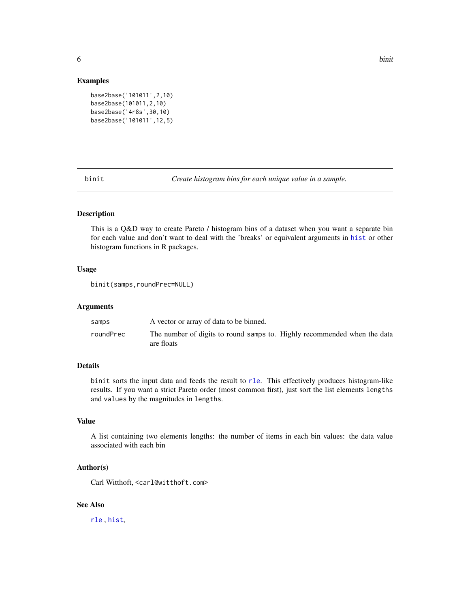<span id="page-5-0"></span>

#### Examples

```
base2base('101011',2,10)
base2base(101011,2,10)
base2base('4r8s',30,10)
base2base('101011',12,5)
```
binit *Create histogram bins for each unique value in a sample.*

# Description

This is a Q&D way to create Pareto / histogram bins of a dataset when you want a separate bin for each value and don't want to deal with the 'breaks' or equivalent arguments in [hist](#page-0-0) or other histogram functions in R packages.

# Usage

```
binit(samps,roundPrec=NULL)
```
#### Arguments

| samps     | A vector or array of data to be binned.                                                |
|-----------|----------------------------------------------------------------------------------------|
| roundPrec | The number of digits to round samps to. Highly recommended when the data<br>are floats |

# Details

binit sorts the input data and feeds the result to [rle](#page-0-0). This effectively produces histogram-like results. If you want a strict Pareto order (most common first), just sort the list elements lengths and values by the magnitudes in lengths.

#### Value

A list containing two elements lengths: the number of items in each bin values: the data value associated with each bin

#### Author(s)

Carl Witthoft, <carl@witthoft.com>

# See Also

[rle](#page-0-0) , [hist](#page-0-0),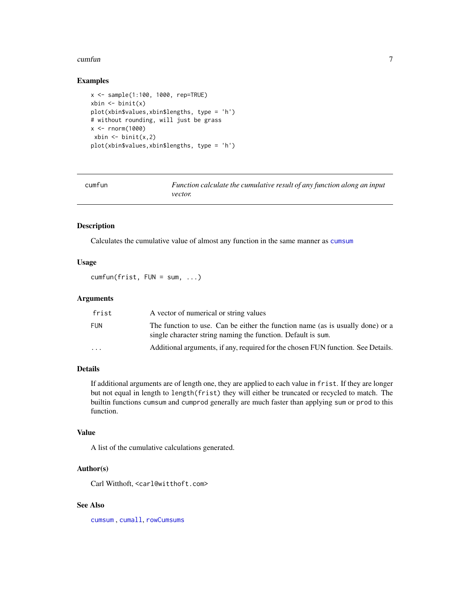#### <span id="page-6-0"></span> $\epsilon$  cumfun  $\sim$  7

#### Examples

```
x <- sample(1:100, 1000, rep=TRUE)
xbin < - binit(x)
plot(xbin$values,xbin$lengths, type = 'h')
# without rounding, will just be grass
x < - rnorm(1000)
xbin < - binit(x, 2)plot(xbin$values,xbin$lengths, type = 'h')
```
cumfun *Function calculate the cumulative result of any function along an input vector.*

#### Description

Calculates the cumulative value of almost any function in the same manner as [cumsum](#page-0-0)

# Usage

 $cumfun(frist, FUN = sum, ...)$ 

#### Arguments

| frist     | A vector of numerical or string values                                                                                                         |
|-----------|------------------------------------------------------------------------------------------------------------------------------------------------|
| FUN       | The function to use. Can be either the function name (as is usually done) or a<br>single character string naming the function. Default is sum. |
| $\ddotsc$ | Additional arguments, if any, required for the chosen FUN function. See Details.                                                               |

# Details

If additional arguments are of length one, they are applied to each value in frist. If they are longer but not equal in length to length(frist) they will either be truncated or recycled to match. The builtin functions cumsum and cumprod generally are much faster than applying sum or prod to this function.

# Value

A list of the cumulative calculations generated.

# Author(s)

Carl Witthoft, <carl@witthoft.com>

# See Also

[cumsum](#page-0-0) , [cumall](#page-0-0), [rowCumsums](#page-0-0)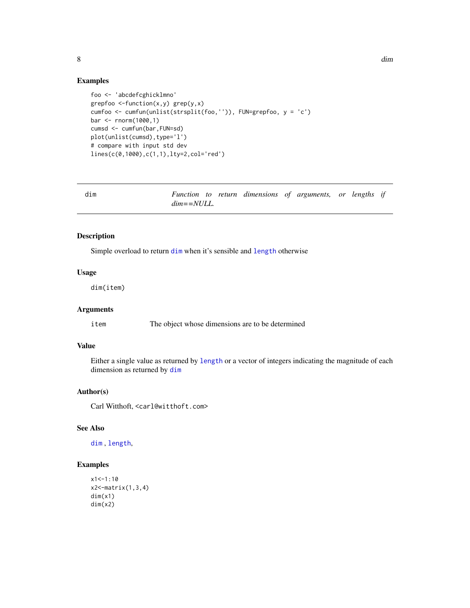```
foo <- 'abcdefcghicklmno'
grepfoo \le-function(x,y) grep(y,x)
cumfoo <- cumfun(unlist(strsplit(foo,'')), FUN=grepfoo, y = 'c')
bar <- rnorm(1000,1)
cumsd <- cumfun(bar,FUN=sd)
plot(unlist(cumsd),type='l')
# compare with input std dev
lines(c(0,1000),c(1,1),lty=2,col='red')
```
<span id="page-7-1"></span>

| dim |                  |  | Function to return dimensions of arguments, or lengths if |  |  |  |
|-----|------------------|--|-----------------------------------------------------------|--|--|--|
|     | $dim = = NULL$ . |  |                                                           |  |  |  |

Simple overload to return [dim](#page-7-1) when it's sensible and [length](#page-0-0) otherwise

#### Usage

dim(item)

# Arguments

item The object whose dimensions are to be determined

# Value

Either a single value as returned by [length](#page-0-0) or a vector of integers indicating the magnitude of each dimension as returned by [dim](#page-7-1)

# Author(s)

Carl Witthoft, <carl@witthoft.com>

# See Also

[dim](#page-7-1) , [length](#page-0-0),

# Examples

```
x1<-1:10x2<-matrix(1,3,4)
dim(x1)
dim(x2)
```
<span id="page-7-0"></span>8 dim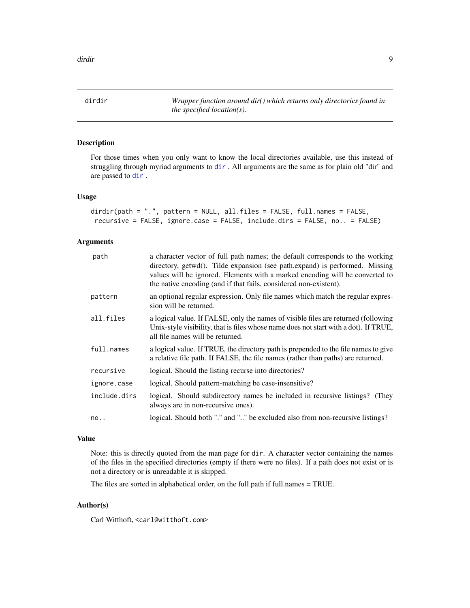<span id="page-8-0"></span>dirdir *Wrapper function around dir() which returns only directories found in the specified location(s).*

# Description

For those times when you only want to know the local directories available, use this instead of struggling through myriad arguments to [dir](#page-0-0) . All arguments are the same as for plain old "dir" and are passed to [dir](#page-0-0) .

#### Usage

```
dirdir(path = ".", pattern = NULL, all.files = FALSE, full.names = FALSE,
recursive = FALSE, ignore.case = FALSE, include.dirs = FALSE, no.. = FALSE)
```
# Arguments

| path         | a character vector of full path names; the default corresponds to the working<br>directory, getwd(). Tilde expansion (see path.expand) is performed. Missing<br>values will be ignored. Elements with a marked encoding will be converted to<br>the native encoding (and if that fails, considered non-existent). |
|--------------|-------------------------------------------------------------------------------------------------------------------------------------------------------------------------------------------------------------------------------------------------------------------------------------------------------------------|
| pattern      | an optional regular expression. Only file names which match the regular expres-<br>sion will be returned.                                                                                                                                                                                                         |
| all.files    | a logical value. If FALSE, only the names of visible files are returned (following<br>Unix-style visibility, that is files whose name does not start with a dot). If TRUE,<br>all file names will be returned.                                                                                                    |
| full.names   | a logical value. If TRUE, the directory path is prepended to the file names to give<br>a relative file path. If FALSE, the file names (rather than paths) are returned.                                                                                                                                           |
| recursive    | logical. Should the listing recurse into directories?                                                                                                                                                                                                                                                             |
| ignore.case  | logical. Should pattern-matching be case-insensitive?                                                                                                                                                                                                                                                             |
| include.dirs | logical. Should subdirectory names be included in recursive listings? (They<br>always are in non-recursive ones).                                                                                                                                                                                                 |
| no.          | logical. Should both "." and "" be excluded also from non-recursive listings?                                                                                                                                                                                                                                     |

#### Value

Note: this is directly quoted from the man page for dir. A character vector containing the names of the files in the specified directories (empty if there were no files). If a path does not exist or is not a directory or is unreadable it is skipped.

The files are sorted in alphabetical order, on the full path if full.names = TRUE.

# Author(s)

Carl Witthoft, <carl@witthoft.com>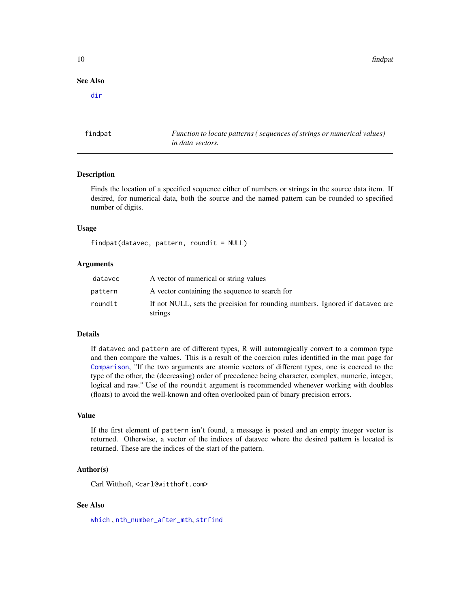# See Also

[dir](#page-0-0)

findpat *Function to locate patterns ( sequences of strings or numerical values) in data vectors.*

#### **Description**

Finds the location of a specified sequence either of numbers or strings in the source data item. If desired, for numerical data, both the source and the named pattern can be rounded to specified number of digits.

#### Usage

```
findpat(datavec, pattern, roundit = NULL)
```
# Arguments

| datavec | A vector of numerical or string values                                                  |
|---------|-----------------------------------------------------------------------------------------|
| pattern | A vector containing the sequence to search for                                          |
| roundit | If not NULL, sets the precision for rounding numbers. Ignored if datavec are<br>strings |

# Details

If datavec and pattern are of different types, R will automagically convert to a common type and then compare the values. This is a result of the coercion rules identified in the man page for [Comparison](#page-0-0), "If the two arguments are atomic vectors of different types, one is coerced to the type of the other, the (decreasing) order of precedence being character, complex, numeric, integer, logical and raw." Use of the roundit argument is recommended whenever working with doubles (floats) to avoid the well-known and often overlooked pain of binary precision errors.

#### Value

If the first element of pattern isn't found, a message is posted and an empty integer vector is returned. Otherwise, a vector of the indices of datavec where the desired pattern is located is returned. These are the indices of the start of the pattern.

# Author(s)

Carl Witthoft, <carl@witthoft.com>

# See Also

[which](#page-0-0) , [nth\\_number\\_after\\_mth](#page-0-0), [strfind](#page-0-0)

<span id="page-9-0"></span>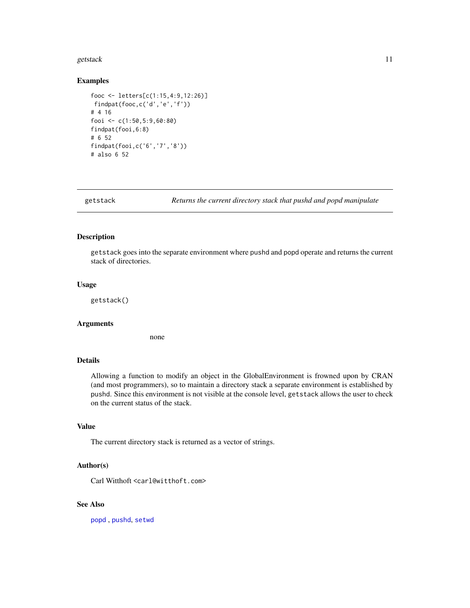#### <span id="page-10-0"></span>getstack the contract of the contract of the contract of the contract of the contract of the contract of the contract of the contract of the contract of the contract of the contract of the contract of the contract of the c

#### Examples

```
fooc <- letters[c(1:15,4:9,12:26)]
findpat(fooc,c('d','e','f'))
# 4 16
fooi <- c(1:50,5:9,60:80)
findpat(fooi,6:8)
# 6 52
findpat(fooi,c('6','7','8'))
# also 6 52
```
getstack *Returns the current directory stack that pushd and popd manipulate*

# Description

getstack goes into the separate environment where pushd and popd operate and returns the current stack of directories.

#### Usage

getstack()

#### Arguments

none

# Details

Allowing a function to modify an object in the GlobalEnvironment is frowned upon by CRAN (and most programmers), so to maintain a directory stack a separate environment is established by pushd. Since this environment is not visible at the console level, getstack allows the user to check on the current status of the stack.

# Value

The current directory stack is returned as a vector of strings.

#### Author(s)

Carl Witthoft <carl@witthoft.com>

# See Also

[popd](#page-20-1) , [pushd](#page-21-1), [setwd](#page-0-0)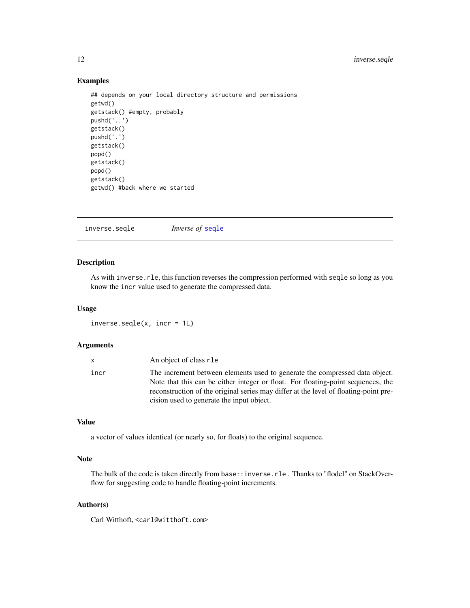# <span id="page-11-0"></span>Examples

```
## depends on your local directory structure and permissions
getwd()
getstack() #empty, probably
pushd('..')
getstack()
pushd('.')
getstack()
popd()
getstack()
popd()
getstack()
getwd() #back where we started
```
<span id="page-11-1"></span>

|--|

# Description

As with inverse. rle, this function reverses the compression performed with seqle so long as you know the incr value used to generate the compressed data.

#### Usage

inverse.seqle(x, incr = 1L)

#### Arguments

| x.   | An object of class r1e                                                                                                                                          |
|------|-----------------------------------------------------------------------------------------------------------------------------------------------------------------|
| incr | The increment between elements used to generate the compressed data object.<br>Note that this can be either integer or float. For floating-point sequences, the |
|      | reconstruction of the original series may differ at the level of floating-point pre-                                                                            |
|      | cision used to generate the input object.                                                                                                                       |

# Value

a vector of values identical (or nearly so, for floats) to the original sequence.

# Note

The bulk of the code is taken directly from base::inverse.rle. Thanks to "flodel" on StackOverflow for suggesting code to handle floating-point increments.

# Author(s)

Carl Witthoft, <carl@witthoft.com>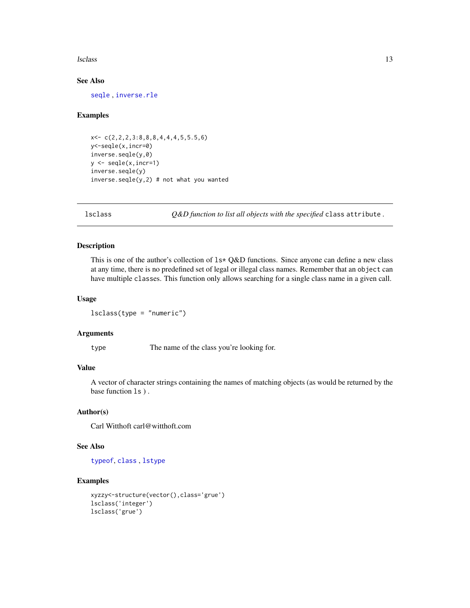#### <span id="page-12-0"></span>lsclass and the set of the set of the set of the set of the set of the set of the set of the set of the set of the set of the set of the set of the set of the set of the set of the set of the set of the set of the set of t

# See Also

[seqle](#page-24-1) , [inverse.rle](#page-0-0)

#### Examples

```
x<- c(2,2,2,3:8,8,8,4,4,4,5,5.5,6)
y<-seqle(x,incr=0)
inverse.seqle(y,0)
y <- seqle(x,incr=1)
inverse.seqle(y)
inverse.sleep(y,2) # not what you wanted
```
<span id="page-12-1"></span>

lsclass *Q&D function to list all objects with the specified* class attribute *.*

# Description

This is one of the author's collection of  $1s*$  Q&D functions. Since anyone can define a new class at any time, there is no predefined set of legal or illegal class names. Remember that an object can have multiple classes. This function only allows searching for a single class name in a given call.

# Usage

lsclass(type = "numeric")

# Arguments

type The name of the class you're looking for.

### Value

A vector of character strings containing the names of matching objects (as would be returned by the base function ls ) .

#### Author(s)

Carl Witthoft carl@witthoft.com

#### See Also

[typeof](#page-0-0), [class](#page-0-0) , [lstype](#page-15-1)

```
xyzzy<-structure(vector(),class='grue')
lsclass('integer')
lsclass('grue')
```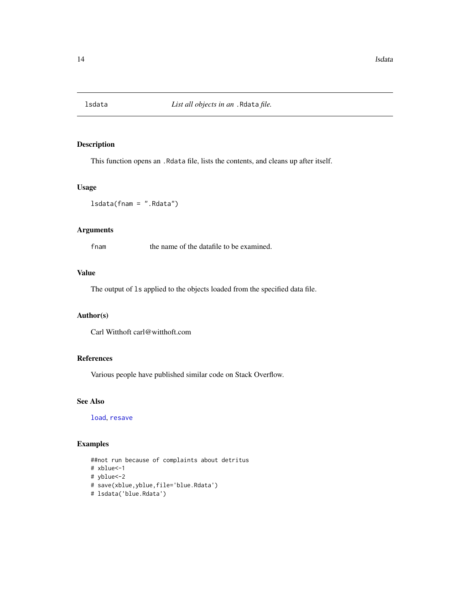<span id="page-13-1"></span><span id="page-13-0"></span>

This function opens an .Rdata file, lists the contents, and cleans up after itself.

# Usage

lsdata(fnam = ".Rdata")

# Arguments

fnam the name of the datafile to be examined.

# Value

The output of ls applied to the objects loaded from the specified data file.

#### Author(s)

Carl Witthoft carl@witthoft.com

# References

Various people have published similar code on Stack Overflow.

# See Also

[load](#page-0-0), [resave](#page-22-1)

```
##not run because of complaints about detritus
# xblue<-1
# yblue<-2
# save(xblue,yblue,file='blue.Rdata')
# lsdata('blue.Rdata')
```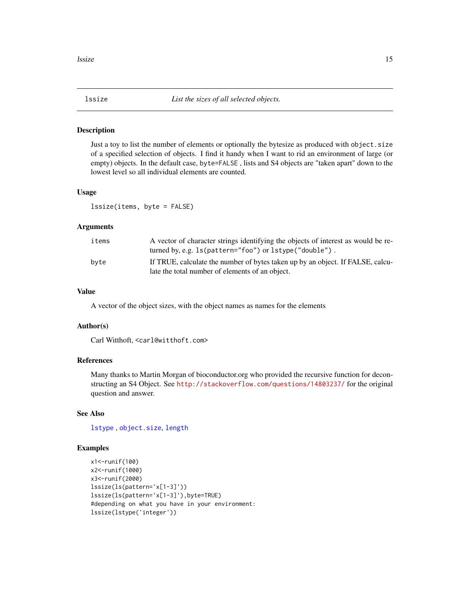<span id="page-14-1"></span><span id="page-14-0"></span>

Just a toy to list the number of elements or optionally the bytesize as produced with object. size of a specified selection of objects. I find it handy when I want to rid an environment of large (or empty) objects. In the default case, byte=FALSE , lists and S4 objects are "taken apart" down to the lowest level so all individual elements are counted.

#### Usage

lssize(items, byte = FALSE)

#### Arguments

| items | A vector of character strings identifying the objects of interest as would be re-<br>turned by, e.g. 1s (pattern="foo") or 1stype ("double"). |
|-------|-----------------------------------------------------------------------------------------------------------------------------------------------|
| byte  | If TRUE, calculate the number of bytes taken up by an object. If FALSE, calcu-<br>late the total number of elements of an object.             |

# Value

A vector of the object sizes, with the object names as names for the elements

#### Author(s)

Carl Witthoft, <carl@witthoft.com>

#### References

Many thanks to Martin Morgan of bioconductor.org who provided the recursive function for deconstructing an S4 Object. See <http://stackoverflow.com/questions/14803237/> for the original question and answer.

# See Also

[lstype](#page-15-1) , [object.size](#page-0-0), [length](#page-0-0)

```
x1<-runif(100)
x2<-runif(1000)
x3<-runif(2000)
lssize(ls(pattern='x[1-3]'))
lssize(ls(pattern='x[1-3]'),byte=TRUE)
#depending on what you have in your environment:
lssize(lstype('integer'))
```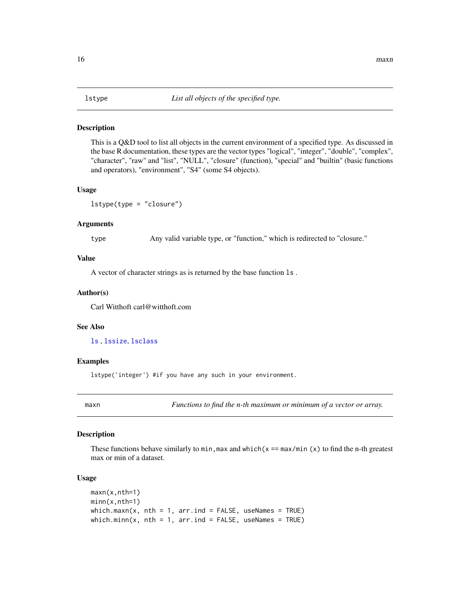<span id="page-15-1"></span><span id="page-15-0"></span>This is a Q&D tool to list all objects in the current environment of a specified type. As discussed in the base R documentation, these types are the vector types "logical", "integer", "double", "complex", "character", "raw" and "list", "NULL", "closure" (function), "special" and "builtin" (basic functions and operators), "environment", "S4" (some S4 objects).

#### Usage

lstype(type = "closure")

# Arguments

type Any valid variable type, or "function," which is redirected to "closure."

# Value

A vector of character strings as is returned by the base function ls .

#### Author(s)

Carl Witthoft carl@witthoft.com

#### See Also

[ls](#page-0-0) , [lssize](#page-14-1), [lsclass](#page-12-1)

#### Examples

lstype('integer') #if you have any such in your environment.

maxn *Functions to find the n-th maximum or minimum of a vector or array.* 

### Description

These functions behave similarly to min, max and which( $x = max/min(x)$  to find the n-th greatest max or min of a dataset.

#### Usage

```
maxn(x,nth=1)
minn(x,nth=1)
which.maxn(x, nth = 1, arr.ind = FALSE, useNames = TRUE)
which.minn(x, nth = 1, arr.ind = FALSE, useNames = TRUE)
```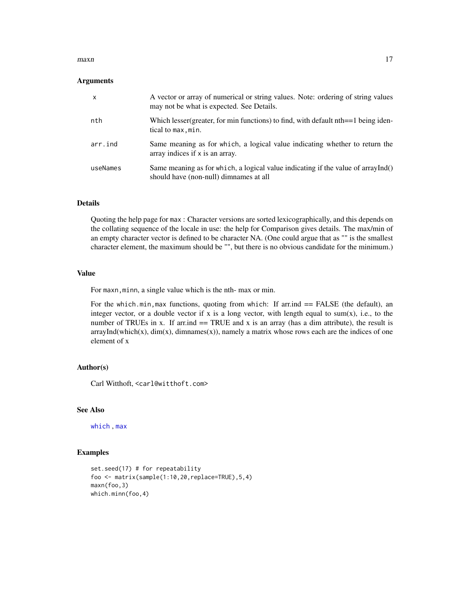#### <span id="page-16-0"></span> $maxn$  and the set of the set of the set of the set of the set of the set of the set of the set of the set of the set of the set of the set of the set of the set of the set of the set of the set of the set of the set of the

#### Arguments

| $\times$ | A vector or array of numerical or string values. Note: ordering of string values<br>may not be what is expected. See Details. |
|----------|-------------------------------------------------------------------------------------------------------------------------------|
| nth      | Which lesser (greater, for min functions) to find, with default $nth == 1$ being iden-<br>tical to max, min.                  |
| arr.ind  | Same meaning as for which, a logical value indicating whether to return the<br>array indices if x is an array.                |
| useNames | Same meaning as for which, a logical value indicating if the value of arrayInd()<br>should have (non-null) dimnames at all    |

# Details

Quoting the help page for max : Character versions are sorted lexicographically, and this depends on the collating sequence of the locale in use: the help for Comparison gives details. The max/min of an empty character vector is defined to be character NA. (One could argue that as "" is the smallest character element, the maximum should be "", but there is no obvious candidate for the minimum.)

#### Value

For maxn, minn, a single value which is the nth- max or min.

For the which.min,max functions, quoting from which: If arr.ind  $==$  FALSE (the default), an integer vector, or a double vector if x is a long vector, with length equal to sum $(x)$ , i.e., to the number of TRUEs in x. If arrived  $r = \text{TRUE}$  and x is an array (has a dim attribute), the result is  $arrayInd(which(x), dim(x), dimnames(x)),$  namely a matrix whose rows each are the indices of one element of x

# Author(s)

Carl Witthoft, <carl@witthoft.com>

# See Also

[which](#page-0-0) , [max](#page-0-0)

```
set.seed(17) # for repeatability
foo <- matrix(sample(1:10,20,replace=TRUE),5,4)
maxn(foo,3)
which.minn(foo,4)
```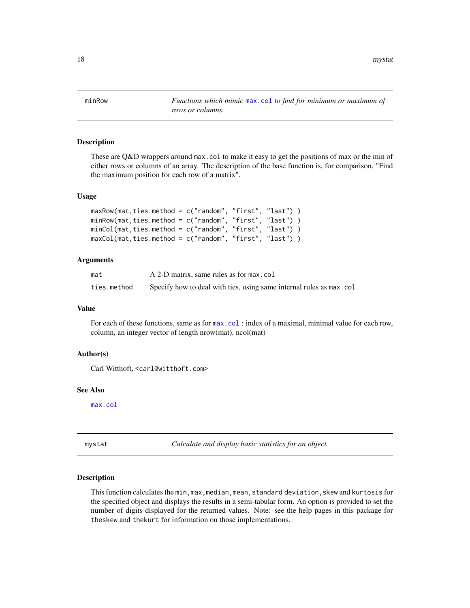<span id="page-17-0"></span>18 mystatus and the method of the method of the method of the method of the method of the method of the method of the method of the method of the method of the method of the method of the method of the method of the method

minRow *Functions which mimic* [max.col](#page-0-0) *to find for minimum or maximum of rows or columns.*

# Description

These are Q&D wrappers around max.col to make it easy to get the positions of max or the min of either rows or columns of an array. The description of the base function is, for comparison, "Find the maximum position for each row of a matrix".

#### Usage

```
maxRow(mat,ties.method = c("random", "first", "last") )
minRow(mat,ties.method = c("random", "first", "last") )
minCol(mat,ties.method = c("random", "first", "last") )
maxCol(mat,ties.method = c("random", "first", "last") )
```
# Arguments

| mat         | A 2-D matrix, same rules as for max.col                             |
|-------------|---------------------------------------------------------------------|
| ties.method | Specify how to deal with ties, using same internal rules as max.col |

# Value

For each of these functions, same as for  $max.col$ : index of a maximal, minimal value for each row, column, an integer vector of length nrow(mat), ncol(mat)

# Author(s)

Carl Witthoft, <carl@witthoft.com>

#### See Also

[max.col](#page-0-0)

mystat *Calculate and display basic statistics for an object.*

#### Description

This function calculates the min,max,median,mean,standard deviation,skew and kurtosis for the specified object and displays the results in a semi-tabular form. An option is provided to set the number of digits displayed for the returned values. Note: see the help pages in this package for theskew and thekurt for information on those implementations.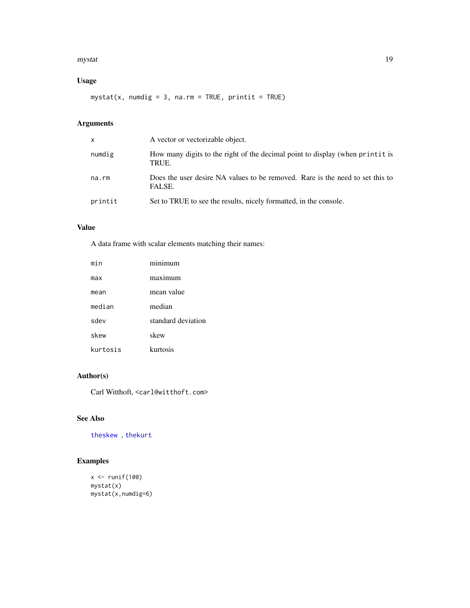#### <span id="page-18-0"></span>mystat the contract of the contract of the contract of the contract of the contract of the contract of the contract of the contract of the contract of the contract of the contract of the contract of the contract of the con

# Usage

mystat(x, numdig =  $3$ , na.rm = TRUE, printit = TRUE)

# Arguments

| X       | A vector or vectorizable object.                                                        |
|---------|-----------------------------------------------------------------------------------------|
| numdig  | How many digits to the right of the decimal point to display (when print it is<br>TRUE. |
| na.rm   | Does the user desire NA values to be removed. Rare is the need to set this to<br>FALSE. |
| printit | Set to TRUE to see the results, nicely formatted, in the console.                       |

# Value

A data frame with scalar elements matching their names:

| min      | minimum            |
|----------|--------------------|
| max      | maximum            |
| mean     | mean value         |
| median   | median             |
| sdev     | standard deviation |
| skew     | skew               |
| kurtosis | kurtosis           |

# Author(s)

Carl Witthoft, <carl@witthoft.com>

# See Also

[theskew](#page-28-1) , [thekurt](#page-27-1)

```
x \leftarrow runif(100)mystat(x)
mystat(x,numdig=6)
```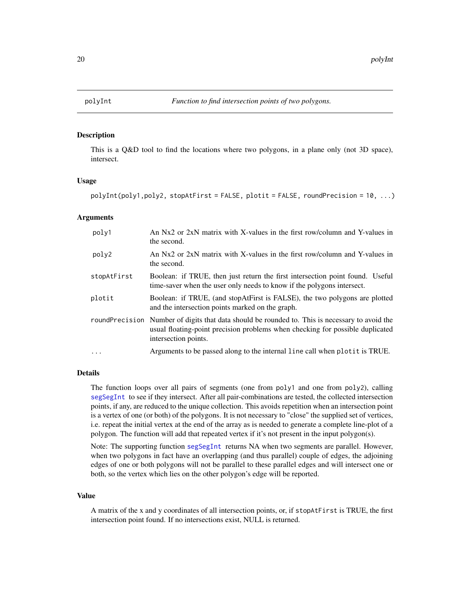<span id="page-19-1"></span><span id="page-19-0"></span>

This is a Q&D tool to find the locations where two polygons, in a plane only (not 3D space), intersect.

#### Usage

```
polyInt(poly1,poly2, stopAtFirst = FALSE, plotit = FALSE, roundPrecision = 10, ...)
```
#### Arguments

| poly1       | An Nx2 or 2xN matrix with X-values in the first row/column and Y-values in<br>the second.                                                                                                               |
|-------------|---------------------------------------------------------------------------------------------------------------------------------------------------------------------------------------------------------|
| poly2       | An Nx2 or 2xN matrix with X-values in the first row/column and Y-values in<br>the second.                                                                                                               |
| stopAtFirst | Boolean: if TRUE, then just return the first intersection point found. Useful<br>time-saver when the user only needs to know if the polygons intersect.                                                 |
| plotit      | Boolean: if TRUE, (and stopAtFirst is FALSE), the two polygons are plotted<br>and the intersection points marked on the graph.                                                                          |
|             | roundPrecision Number of digits that data should be rounded to. This is necessary to avoid the<br>usual floating-point precision problems when checking for possible duplicated<br>intersection points. |
| $\ddots$    | Arguments to be passed along to the internal line call when plotit is TRUE.                                                                                                                             |

#### Details

The function loops over all pairs of segments (one from poly1 and one from poly2), calling [segSegInt](#page-23-1) to see if they intersect. After all pair-combinations are tested, the collected intersection points, if any, are reduced to the unique collection. This avoids repetition when an intersection point is a vertex of one (or both) of the polygons. It is not necessary to "close" the supplied set of vertices, i.e. repeat the initial vertex at the end of the array as is needed to generate a complete line-plot of a polygon. The function will add that repeated vertex if it's not present in the input polygon(s).

Note: The supporting function [segSegInt](#page-23-1) returns NA when two segments are parallel. However, when two polygons in fact have an overlapping (and thus parallel) couple of edges, the adjoining edges of one or both polygons will not be parallel to these parallel edges and will intersect one or both, so the vertex which lies on the other polygon's edge will be reported.

#### Value

A matrix of the x and y coordinates of all intersection points, or, if stopAtFirst is TRUE, the first intersection point found. If no intersections exist, NULL is returned.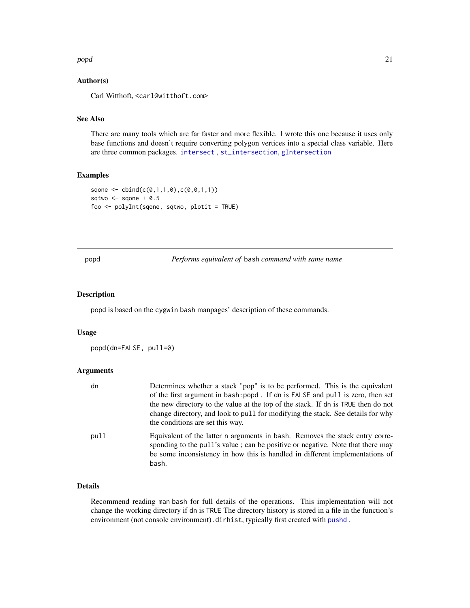#### <span id="page-20-0"></span>popd 21 and 22 and 22 and 22 and 22 and 23 and 23 and 23 and 23 and 23 and 23 and 23 and 23 and 24 and 25 and 26 and 26 and 26 and 26 and 27 and 27 and 27 and 27 and 27 and 27 and 27 and 27 and 27 and 27 and 27 and 27 and

# Author(s)

Carl Witthoft, <carl@witthoft.com>

# See Also

There are many tools which are far faster and more flexible. I wrote this one because it uses only base functions and doesn't require converting polygon vertices into a special class variable. Here are three common packages. [intersect](#page-0-0) , [st\\_intersection](#page-0-0), [gIntersection](#page-0-0)

# Examples

```
sqone <- cbind(c(0,1,1,0),c(0,0,1,1))
sqtwo <- sqone + 0.5
foo <- polyInt(sqone, sqtwo, plotit = TRUE)
```
<span id="page-20-1"></span>popd *Performs equivalent of* bash *command with same name*

#### Description

popd is based on the cygwin bash manpages' description of these commands.

#### Usage

popd(dn=FALSE, pull=0)

#### Arguments

| dn   | Determines whether a stack "pop" is to be performed. This is the equivalent                                                                                                                                                                             |
|------|---------------------------------------------------------------------------------------------------------------------------------------------------------------------------------------------------------------------------------------------------------|
|      | of the first argument in bash: popd. If dn is FALSE and pull is zero, then set                                                                                                                                                                          |
|      | the new directory to the value at the top of the stack. If dn is TRUE then do not                                                                                                                                                                       |
|      | change directory, and look to pull for modifying the stack. See details for why<br>the conditions are set this way.                                                                                                                                     |
| pull | Equivalent of the latter n arguments in bash. Removes the stack entry corre-<br>sponding to the pull's value; can be positive or negative. Note that there may<br>be some inconsistency in how this is handled in different implementations of<br>bash. |

# Details

Recommend reading man bash for full details of the operations. This implementation will not change the working directory if dn is TRUE The directory history is stored in a file in the function's environment (not console environment).dirhist, typically first created with [pushd](#page-21-1).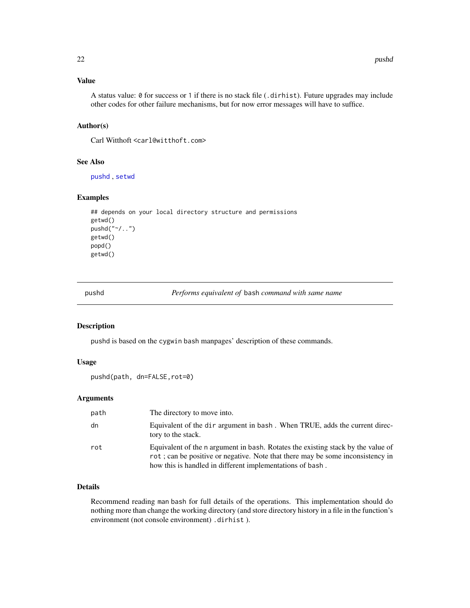# <span id="page-21-0"></span>Value

A status value: 0 for success or 1 if there is no stack file (.dirhist). Future upgrades may include other codes for other failure mechanisms, but for now error messages will have to suffice.

# Author(s)

Carl Witthoft <carl@witthoft.com>

# See Also

[pushd](#page-21-1) , [setwd](#page-0-0)

#### Examples

```
## depends on your local directory structure and permissions
getwd()
pushd("~/..")
getwd()
popd()
getwd()
```
<span id="page-21-1"></span>pushd *Performs equivalent of* bash *command with same name*

#### Description

pushd is based on the cygwin bash manpages' description of these commands.

# Usage

```
pushd(path, dn=FALSE,rot=0)
```
# Arguments

| path | The directory to move into.                                                                                                                                                                                                     |
|------|---------------------------------------------------------------------------------------------------------------------------------------------------------------------------------------------------------------------------------|
| dn   | Equivalent of the dir argument in bash. When TRUE, adds the current direc-<br>tory to the stack.                                                                                                                                |
| rot  | Equivalent of the n argument in bash. Rotates the existing stack by the value of<br>rot; can be positive or negative. Note that there may be some inconsistency in<br>how this is handled in different implementations of bash. |

# Details

Recommend reading man bash for full details of the operations. This implementation should do nothing more than change the working directory (and store directory history in a file in the function's environment (not console environment) .dirhist ).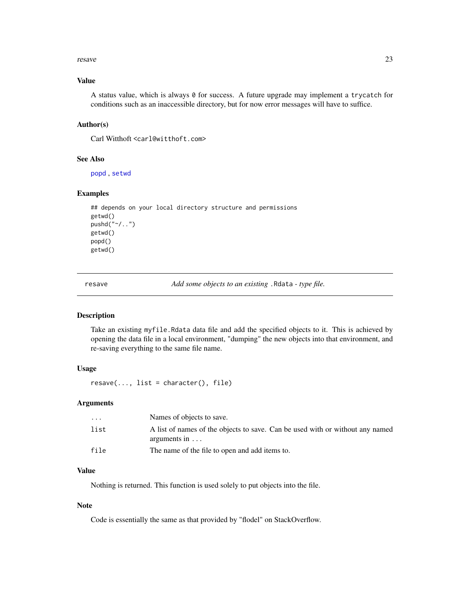#### <span id="page-22-0"></span>resave 23

#### Value

A status value, which is always  $\theta$  for success. A future upgrade may implement a trycatch for conditions such as an inaccessible directory, but for now error messages will have to suffice.

#### Author(s)

Carl Witthoft <carl@witthoft.com>

#### See Also

[popd](#page-20-1) , [setwd](#page-0-0)

#### Examples

```
## depends on your local directory structure and permissions
getwd()
pushd("~/..")
getwd()
popd()
getwd()
```
<span id="page-22-1"></span>resave *Add some objects to an existing* .Rdata *- type file.*

#### Description

Take an existing myfile.Rdata data file and add the specified objects to it. This is achieved by opening the data file in a local environment, "dumping" the new objects into that environment, and re-saving everything to the same file name.

### Usage

```
resave(..., list = character(), file)
```
#### Arguments

| $\ddotsc$ | Names of objects to save.                                                                             |
|-----------|-------------------------------------------------------------------------------------------------------|
| list      | A list of names of the objects to save. Can be used with or without any named<br>arguments in $\dots$ |
| file      | The name of the file to open and add items to.                                                        |

# Value

Nothing is returned. This function is used solely to put objects into the file.

#### Note

Code is essentially the same as that provided by "flodel" on StackOverflow.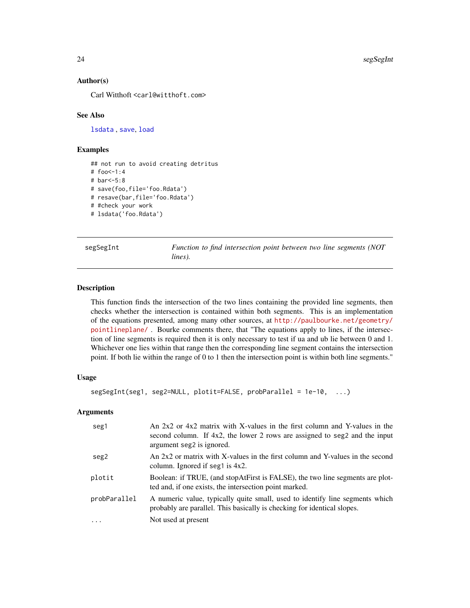24 segSegInt

#### Author(s)

Carl Witthoft <carl@witthoft.com>

#### See Also

[lsdata](#page-13-1) , [save](#page-0-0), [load](#page-0-0)

### Examples

```
## not run to avoid creating detritus
# foo<-1:4
# bar<-5:8
# save(foo,file='foo.Rdata')
# resave(bar,file='foo.Rdata')
# #check your work
# lsdata('foo.Rdata')
```
<span id="page-23-1"></span>segSegInt *Function to find intersection point between two line segments (NOT lines).*

#### **Description**

This function finds the intersection of the two lines containing the provided line segments, then checks whether the intersection is contained within both segments. This is an implementation of the equations presented, among many other sources, at [http://paulbourke.net/geometry/](http://paulbourke.net/geometry/pointlineplane/) [pointlineplane/](http://paulbourke.net/geometry/pointlineplane/) . Bourke comments there, that "The equations apply to lines, if the intersection of line segments is required then it is only necessary to test if ua and ub lie between 0 and 1. Whichever one lies within that range then the corresponding line segment contains the intersection point. If both lie within the range of 0 to 1 then the intersection point is within both line segments."

### Usage

```
segSegInt(seg1, seg2=NULL, plotit=FALSE, probParallel = 1e-10, ...)
```
# Arguments

| seg1         | An 2x2 or 4x2 matrix with X-values in the first column and Y-values in the<br>second column. If $4x2$ , the lower 2 rows are assigned to seg2 and the input<br>argument seg2 is ignored. |
|--------------|------------------------------------------------------------------------------------------------------------------------------------------------------------------------------------------|
| seg2         | An 2x2 or matrix with X-values in the first column and Y-values in the second<br>column. Ignored if seg1 is $4x2$ .                                                                      |
| plotit       | Boolean: if TRUE, (and stopAtFirst is FALSE), the two line segments are plot-<br>ted and, if one exists, the intersection point marked.                                                  |
| probParallel | A numeric value, typically quite small, used to identify line segments which<br>probably are parallel. This basically is checking for identical slopes.                                  |
| $\cdot$      | Not used at present                                                                                                                                                                      |

<span id="page-23-0"></span>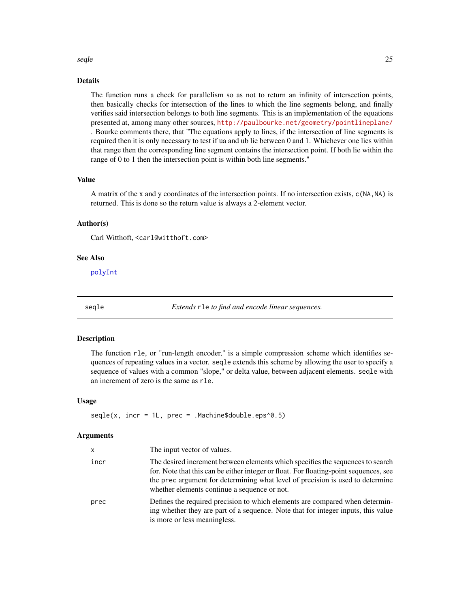#### <span id="page-24-0"></span>seqle 25

# Details

The function runs a check for parallelism so as not to return an infinity of intersection points, then basically checks for intersection of the lines to which the line segments belong, and finally verifies said intersection belongs to both line segments. This is an implementation of the equations presented at, among many other sources, <http://paulbourke.net/geometry/pointlineplane/> . Bourke comments there, that "The equations apply to lines, if the intersection of line segments is required then it is only necessary to test if ua and ub lie between 0 and 1. Whichever one lies within that range then the corresponding line segment contains the intersection point. If both lie within the range of 0 to 1 then the intersection point is within both line segments."

#### Value

A matrix of the x and y coordinates of the intersection points. If no intersection exists, c(NA,NA) is returned. This is done so the return value is always a 2-element vector.

# Author(s)

Carl Witthoft, <carl@witthoft.com>

# See Also

[polyInt](#page-19-1)

<span id="page-24-1"></span>

seqle *Extends* rle *to find and encode linear sequences.*

#### Description

The function rle, or "run-length encoder," is a simple compression scheme which identifies sequences of repeating values in a vector. seqle extends this scheme by allowing the user to specify a sequence of values with a common "slope," or delta value, between adjacent elements. seqle with an increment of zero is the same as rle.

#### Usage

 $segle(x, incr = 1L, prec = .Machine$double.eps^0.5)$ 

#### Arguments

| x    | The input vector of values.                                                                                                                                                                                                                                                                               |
|------|-----------------------------------------------------------------------------------------------------------------------------------------------------------------------------------------------------------------------------------------------------------------------------------------------------------|
| incr | The desired increment between elements which specifies the sequences to search<br>for. Note that this can be either integer or float. For floating-point sequences, see<br>the prec argument for determining what level of precision is used to determine<br>whether elements continue a sequence or not. |
| prec | Defines the required precision to which elements are compared when determin-<br>ing whether they are part of a sequence. Note that for integer inputs, this value<br>is more or less meaningless.                                                                                                         |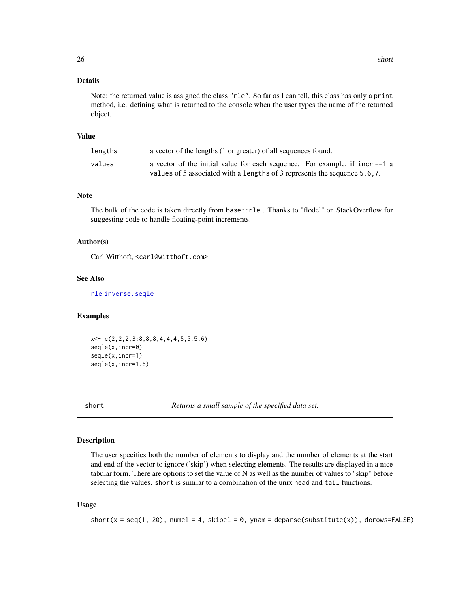# <span id="page-25-0"></span>Details

Note: the returned value is assigned the class "rle". So far as I can tell, this class has only a print method, i.e. defining what is returned to the console when the user types the name of the returned object.

# Value

| lengths | a vector of the lengths (1 or greater) of all sequences found.                                                                                              |
|---------|-------------------------------------------------------------------------------------------------------------------------------------------------------------|
| values  | a vector of the initial value for each sequence. For example, if incr == 1 a<br>values of 5 associated with a lengths of 3 represents the sequence 5, 6, 7. |

# Note

The bulk of the code is taken directly from base::rle . Thanks to "flodel" on StackOverflow for suggesting code to handle floating-point increments.

#### Author(s)

Carl Witthoft, <carl@witthoft.com>

# See Also

[rle](#page-0-0) [inverse.seqle](#page-11-1)

# Examples

```
x<- c(2,2,2,3:8,8,8,4,4,4,5,5.5,6)
seqle(x,incr=0)
seqle(x,incr=1)
seqle(x,incr=1.5)
```
short *Returns a small sample of the specified data set.*

#### Description

The user specifies both the number of elements to display and the number of elements at the start and end of the vector to ignore ('skip') when selecting elements. The results are displayed in a nice tabular form. There are options to set the value of N as well as the number of values to "skip" before selecting the values. short is similar to a combination of the unix head and tail functions.

#### Usage

```
short(x = seq(1, 20), numel = 4, skipel = 0, ynam = deparse(substitute(x)), dorows=FALSE)
```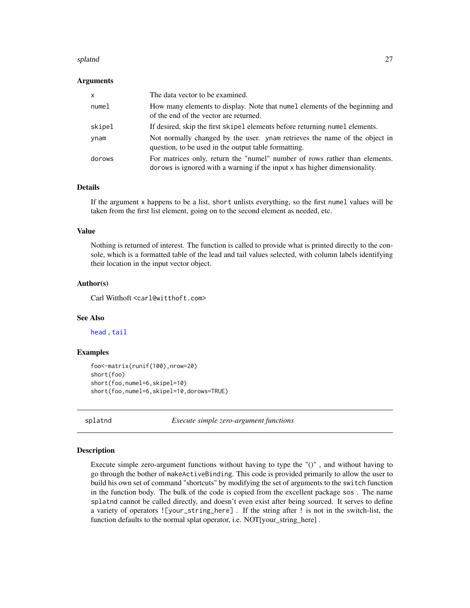#### <span id="page-26-0"></span>splatnd 27

#### Arguments

| $\mathsf{x}$ | The data vector to be examined.                                                                                                                          |
|--------------|----------------------------------------------------------------------------------------------------------------------------------------------------------|
| numel        | How many elements to display. Note that numel elements of the beginning and<br>of the end of the vector are returned.                                    |
| skipel       | If desired, skip the first skipel elements before returning numel elements.                                                                              |
| ynam         | Not normally changed by the user. ynam retrieves the name of the object in<br>question, to be used in the output table formatting.                       |
| dorows       | For matrices only, return the "numel" number of rows rather than elements.<br>dorows is ignored with a warning if the input x has higher dimensionality. |

# Details

If the argument x happens to be a list, short unlists everything, so the first numel values will be taken from the first list element, going on to the second element as needed, etc.

#### Value

Nothing is returned of interest. The function is called to provide what is printed directly to the console, which is a formatted table of the lead and tail values selected, with column labels identifying their location in the input vector object.

#### Author(s)

Carl Witthoft <carl@witthoft.com>

#### See Also

[head](#page-0-0) , [tail](#page-0-0)

#### Examples

```
foo<-matrix(runif(100),nrow=20)
short(foo)
short(foo,numel=6,skipel=10)
short(foo,numel=6,skipel=10,dorows=TRUE)
```
splatnd *Execute simple zero-argument functions*

#### Description

Execute simple zero-argument functions without having to type the "()" , and without having to go through the bother of makeActiveBinding. This code is provided primarily to allow the user to build his own set of command "shortcuts" by modifying the set of arguments to the switch function in the function body. The bulk of the code is copied from the excellent package sos . The name splatnd cannot be called directly, and doesn't even exist after being sourced. It serves to define a variety of operators ![your\_string\_here] . If the string after ! is not in the switch-list, the function defaults to the normal splat operator, i.e. NOT[your\_string\_here].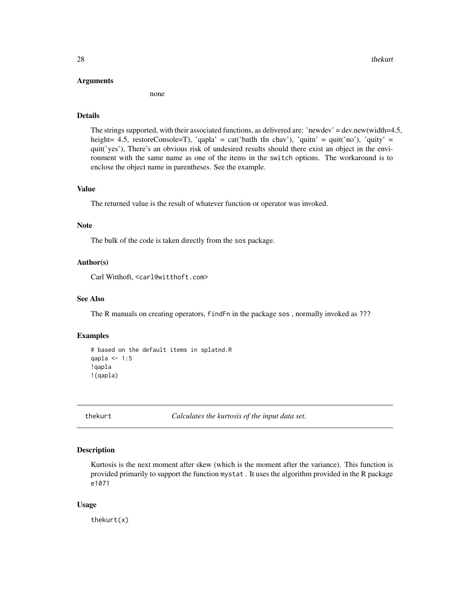#### <span id="page-27-0"></span>Arguments

none

#### Details

The strings supported, with their associated functions, as delivered are: 'newdev' = dev.new(width=4.5, height= 4.5, restoreConsole=T), 'qapla' = cat('batlh tIn chav'), 'quitn' = quit('no'), 'quity' = quit('yes'), There's an obvious risk of undesired results should there exist an object in the environment with the same name as one of the items in the switch options. The workaround is to enclose the object name in parentheses. See the example.

#### Value

The returned value is the result of whatever function or operator was invoked.

# Note

The bulk of the code is taken directly from the sos package.

#### Author(s)

Carl Witthoft, <carl@witthoft.com>

# See Also

The R manuals on creating operators, findFn in the package sos , normally invoked as ???

#### Examples

```
# based on the default items in splatnd.R
qapla <- 1:5
!qapla
!(qapla)
```
<span id="page-27-1"></span>

thekurt *Calculates the kurtosis of the input data set.*

#### Description

Kurtosis is the next moment after skew (which is the moment after the variance). This function is provided primarily to support the function mystat . It uses the algorithm provided in the R package e1071

#### Usage

thekurt(x)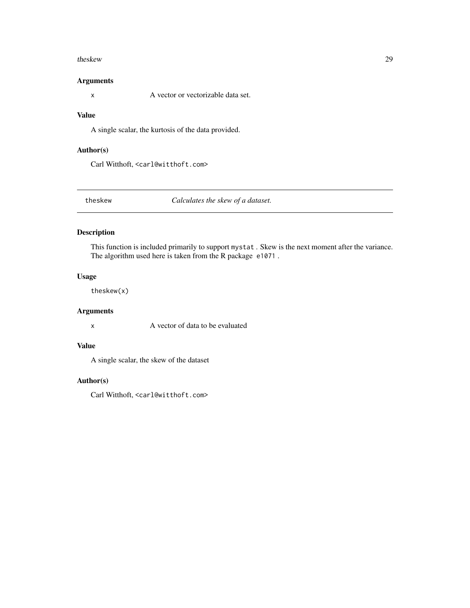#### <span id="page-28-0"></span>theskew 29

# Arguments

x A vector or vectorizable data set.

#### Value

A single scalar, the kurtosis of the data provided.

# Author(s)

Carl Witthoft, <carl@witthoft.com>

<span id="page-28-1"></span>theskew *Calculates the skew of a dataset.*

# Description

This function is included primarily to support mystat . Skew is the next moment after the variance. The algorithm used here is taken from the R package e1071 .

# Usage

theskew(x)

# Arguments

x A vector of data to be evaluated

# Value

A single scalar, the skew of the dataset

# Author(s)

Carl Witthoft, <carl@witthoft.com>